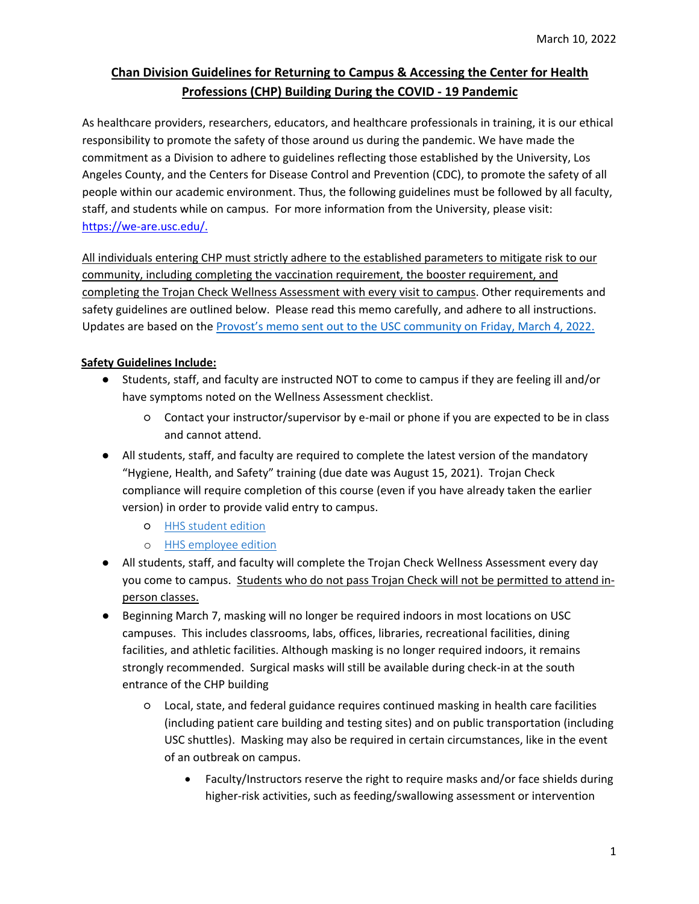# **Chan Division Guidelines for Returning to Campus & Accessing the Center for Health Professions (CHP) Building During the COVID - 19 Pandemic**

As healthcare providers, researchers, educators, and healthcare professionals in training, it is our ethical responsibility to promote the safety of those around us during the pandemic. We have made the commitment as a Division to adhere to guidelines reflecting those established by the University, Los Angeles County, and the Centers for Disease Control and Prevention (CDC), to promote the safety of all people within our academic environment. Thus, the following guidelines must be followed by all faculty, staff, and students while on campus. For more information from the University, please visit: [https://we-are.usc.edu/.](https://we-are.usc.edu/)

All individuals entering CHP must strictly adhere to the established parameters to mitigate risk to our community, including completing the vaccination requirement, the booster requirement, and completing the Trojan Check Wellness Assessment with every visit to campus. Other requirements and safety guidelines are outlined below. Please read this memo carefully, and adhere to all instructions. Updates are based on the [Provost's memo sent out to the USC commun](https://coronavirus.usc.edu/2022/03/04/updated-covid-19-mitigation-policies-3-4/)ity on Friday, March 4, 2022.

# **Safety Guidelines Include:**

- Students, staff, and faculty are instructed NOT to come to campus if they are feeling ill and/or have symptoms noted on the Wellness Assessment checklist.
	- Contact your instructor/supervisor by e-mail or phone if you are expected to be in class and cannot attend.
- All students, staff, and faculty are required to complete the latest version of the mandatory "Hygiene, Health, and Safety" training (due date was August 15, 2021). Trojan Check compliance will require completion of this course (even if you have already taken the earlier version) in order to provide valid entry to campus.
	- [HHS student edition](https://coronavirus.usc.edu/trojanlearn-health-hygiene-and-safety-training/)
	- o [HHS employee edition](https://coronavirus.usc.edu/trojanlearn-health-hygiene-and-safety-training/)
- All students, staff, and faculty will complete the Trojan Check Wellness Assessment every day you come to campus. Students who do not pass Trojan Check will not be permitted to attend inperson classes.
- Beginning March 7, masking will no longer be required indoors in most locations on USC campuses. This includes classrooms, labs, offices, libraries, recreational facilities, dining facilities, and athletic facilities. Although masking is no longer required indoors, it remains strongly recommended. Surgical masks will still be available during check-in at the south entrance of the CHP building
	- Local, state, and federal guidance requires continued masking in health care facilities (including patient care building and testing sites) and on public transportation (including USC shuttles). Masking may also be required in certain circumstances, like in the event of an outbreak on campus.
		- Faculty/Instructors reserve the right to require masks and/or face shields during higher-risk activities, such as feeding/swallowing assessment or intervention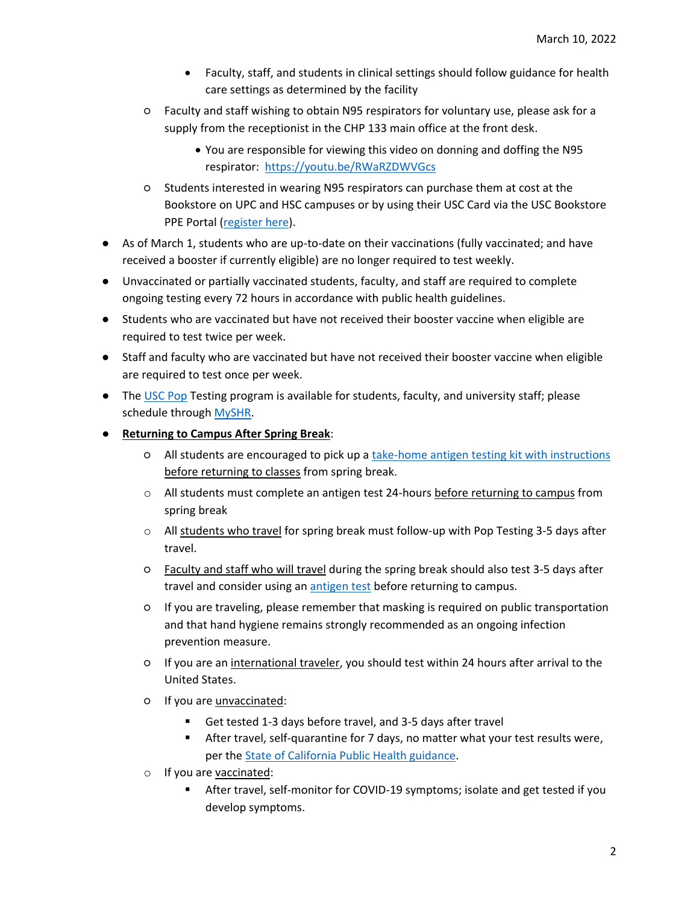- Faculty, staff, and students in clinical settings should follow guidance for health care settings as determined by the facility
- Faculty and staff wishing to obtain N95 respirators for voluntary use, please ask for a supply from the receptionist in the CHP 133 main office at the front desk.
	- You are responsible for viewing this video on donning and doffing the N95 respirator: <https://youtu.be/RWaRZDWVGcs>
- Students interested in wearing N95 respirators can purchase them at cost at the Bookstore on UPC and HSC campuses or by using their USC Card via the USC Bookstore PPE Portal [\(register here\)](https://forms.office.com/r/aLJfUsX5ps__;!!LIr3w8kk_Xxm!93OYuuKBYVMmSrqvo9DaQ8-F6Ldf0Lh97-TtRNFzCvu4k1OvwtIngMUrAvi_cio$).
- As of March 1, students who are up-to-date on their vaccinations (fully vaccinated; and have received a booster if currently eligible) are no longer required to test weekly.
- Unvaccinated or partially vaccinated students, faculty, and staff are required to complete ongoing testing every 72 hours in accordance with public health guidelines.
- Students who are vaccinated but have not received their booster vaccine when eligible are required to test twice per week.
- Staff and faculty who are vaccinated but have not received their booster vaccine when eligible are required to test once per week.
- The [USC Pop](https://studenthealth.usc.edu/pop-testing-hours-and-locations/) Testing program is available for students, faculty, and university staff; please schedule through [MySHR.](https://usc.edu/myshr)
- **Returning to Campus After Spring Break**:
	- All students are encouraged to pick up a [take-home antigen testing kit with instructions](https://studenthealth.usc.edu/instructions-spring-recess-testing-using-antigen-kits/) before returning to classes from spring break.
	- $\circ$  All students must complete an antigen test 24-hours before returning to campus from spring break
	- $\circ$  All students who travel for spring break must follow-up with Pop Testing 3-5 days after travel.
	- Faculty and staff who will travel during the spring break should also test 3-5 days after travel and consider using an [antigen test](https://studenthealth.usc.edu/covid-19-testing-pcr-and-antigen/) before returning to campus.
	- If you are traveling, please remember that masking is required on public transportation and that hand hygiene remains strongly recommended as an ongoing infection prevention measure.
	- If you are an international traveler, you should test within 24 hours after arrival to the United States.
	- If you are unvaccinated:
		- Get tested 1-3 days before travel, and 3-5 days after travel
		- **EXEDM** After travel, self-quarantine for 7 days, no matter what your test results were, per the [State of California Public Health guidance.](https://urldefense.com/v3/__https:/www.cdph.ca.gov/Programs/CID/DCDC/CDPH*20Document*20Library/COVID-19/CA-is-Open-Travel-Guidelines.pdf__;JSU!!LIr3w8kk_Xxm!9u3lC2qorxbgw95VAEbMkx6GLgGg6i6OXvEcFlT3wivj_BRx6SZvAYKiouW6yowmqYjcWfhErU0Js9SWfWOlkFvDpAQ$)
	- o If you are vaccinated:
		- After travel, self-monitor for COVID-19 symptoms; isolate and get tested if you develop symptoms.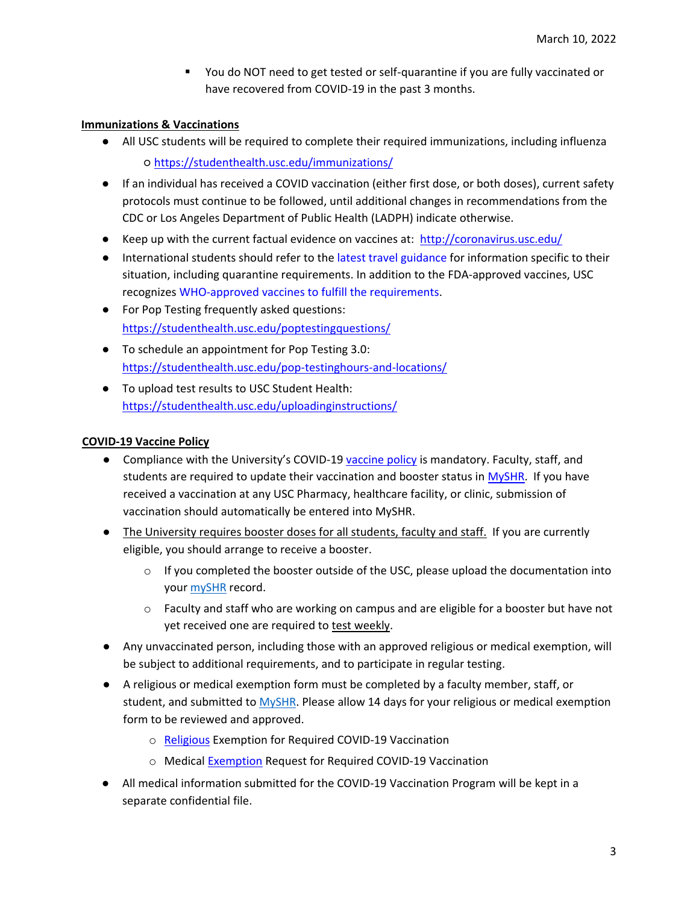■ You do NOT need to get tested or self-quarantine if you are fully vaccinated or have recovered from COVID-19 in the past 3 months.

#### **Immunizations & Vaccinations**

- All USC students will be required to complete their required immunizations, including influenza ○ <https://studenthealth.usc.edu/immunizations/>
- If an individual has received a COVID vaccination (either first dose, or both doses), current safety protocols must continue to be followed, until additional changes in recommendations from the CDC or Los Angeles Department of Public Health (LADPH) indicate otherwise.
- Keep up with the current factual evidence on vaccines at: [http://coronavirus.usc.edu/](http://click.comms.usc.edu/?qs=0f6f370b62f8f9fb0572a0cfa6021df1114a0d350e64f58b4b5838cd90e8b657496979623750ef9c0b6349cf4ed76bf9d3a9b8c8be527c71)
- **•** International students should refer to the [latest travel guidance](https://we-are.usc.edu/2020/07/28/7-28-fall-2020-travel-guidance-for-international-students-currently-outside-the-us/) for information specific to their situation, including quarantine requirements. In addition to the FDA-approved vaccines, USC recognizes [WHO-approved vaccines to fulfill the requirements.](https://studenthealth.usc.edu/list-of-accepted-vaccines/)
- For Pop Testing frequently asked questions: [https://studenthealth.usc.edu/poptestingquestions/](https://urldefense.proofpoint.com/v2/url?u=https-3A__studenthealth.usc.edu_poptesting-2Dquestions_&d=DwMGaQ&c=iLFkktpbVJiqSz07OUNw8-PWtGGtHBTxbUB7zsE1fFk&r=a5kxidlg1Kd3fwwLKoWEAuqN1hMVA9jQjBI5C7Dnuls&m=wModuboi3Ol2LbIVIFn3FSTPlzCNxd4PguKBENwaHdo&s=jTIv5OsQuOZEMcKsye4g7u8Z_3UTuytYpC1RfpNee1s&e=)
- To schedule an appointment for Pop Testing 3.0: [https://studenthealth.usc.edu/pop-testinghours-and-locations/](https://urldefense.proofpoint.com/v2/url?u=https-3A__studenthealth.usc.edu_pop-2Dtesting-2Dhours-2Dand-2Dlocations_&d=DwMF-g&c=iLFkktpbVJiqSz07OUNw8-PWtGGtHBTxbUB7zsE1fFk&r=a5kxidlg1Kd3fwwLKoWEAuqN1hMVA9jQjBI5C7Dnuls&m=ZNeGBPBtm7VscI1eqjjigwEkOT-5u0nz7VHQOpPcdtY&s=ejjA0csgoHgLUoYPdCOZpN_Xf6TIjrsXlE38CSZWO3o&e=)
- To upload test results to USC Student Health: [https://studenthealth.usc.edu/uploadinginstructions/](https://studenthealth.usc.edu/uploading-instructions/)

#### **COVID-19 Vaccine Policy**

- Compliance with the University's COVID-19 [vaccine policy](https://policy.usc.edu/covid-19-vaccination-program/) is mandatory. Faculty, staff, and students are required to update their vaccination and booster status in [MySHR.](https://usc.edu/myshr)If you have received a vaccination at any USC Pharmacy, healthcare facility, or clinic, submission of vaccination should automatically be entered into MySHR.
- The University requires booster doses for all students, faculty and staff. If you are currently eligible, you should arrange to receive a booster.
	- $\circ$  If you completed the booster outside of the USC, please upload the documentation into your [mySHR](https://studenthealth.usc.edu/myshr) record.
	- $\circ$  Faculty and staff who are working on campus and are eligible for a booster but have not yet received one are required to test weekly.
- Any unvaccinated person, including those with an approved religious or medical exemption, will be subject to additional requirements, and to participate in regular testing.
- A religious or medical exemption form must be completed by a faculty member, staff, or student, and submitted to [MySHR.](https://usc.edu/myshr) Please allow 14 days for your religious or medical exemption form to be reviewed and approved.
	- o [Religious](https://studenthealth.usc.edu/files/2021/06/Religious-Exemption-Request-for-COVID-19-Vaccination_062821.pdf) [E](https://studenthealth.usc.edu/files/2021/06/Religious-Exemption-Request-for-COVID-19-Vaccination_062821.pdf)xemption for Required COVID-19 Vaccination
	- o Medical [Exemption](https://studenthealth.usc.edu/files/2021/06/Medical-Exemption-Request-for-COVID-19-Vaccination_062821.pdf) [R](https://studenthealth.usc.edu/files/2021/06/Medical-Exemption-Request-for-COVID-19-Vaccination_062821.pdf)equest for Required COVID-19 Vaccination
- All medical information submitted for the COVID-19 Vaccination Program will be kept in a separate confidential file.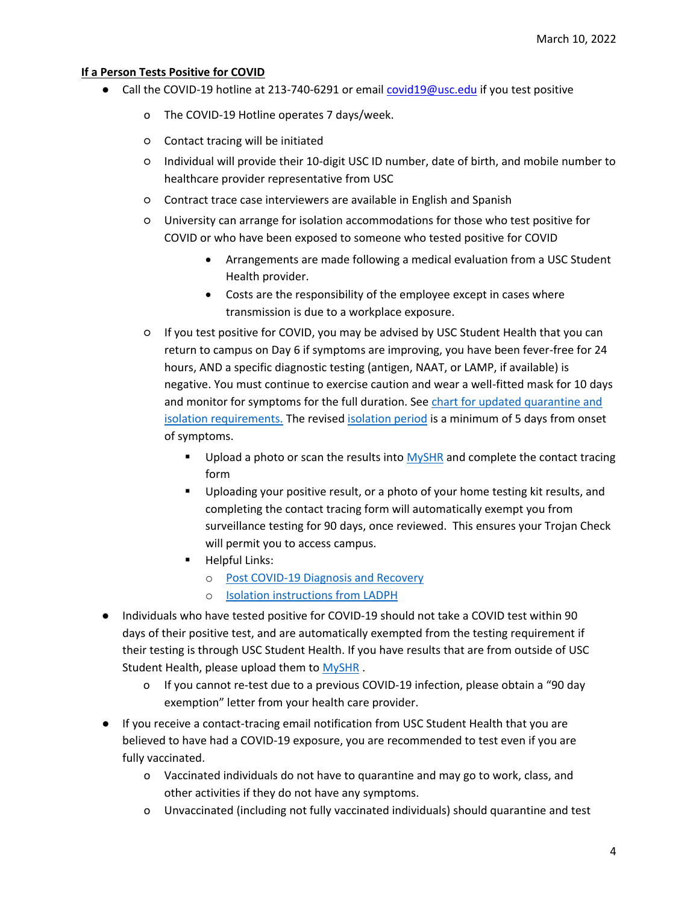#### **If a Person Tests Positive for COVID**

- Call the COVID-19 hotline at 213-740-6291 or email covid19@usc.edu if you test positive
	- o The COVID-19 Hotline operates 7 days/week.
	- Contact tracing will be initiated
	- Individual will provide their 10-digit USC ID number, date of birth, and mobile number to healthcare provider representative from USC
	- Contract trace case interviewers are available in English and Spanish
	- University can arrange for isolation accommodations for those who test positive for COVID or who have been exposed to someone who tested positive for COVID
		- Arrangements are made following a medical evaluation from a USC Student Health provider.
		- Costs are the responsibility of the employee except in cases where transmission is due to a workplace exposure.
	- If you test positive for COVID, you may be advised by USC Student Health that you can return to campus on Day 6 if symptoms are improving, you have been fever-free for 24 hours, AND a specific diagnostic testing (antigen, NAAT, or LAMP, if available) is negative. You must continue to exercise caution and wear a well-fitted mask for 10 days and monitor for symptoms for the full duration. See chart for updated quarantine and [isolation requirements.](https://customsitesmedia.usc.edu/wp-content/uploads/sites/554/2022/01/02012651/QUARANTINE_ISOLATION_chart_Jan2022.pdf) The revise[d isolation period](http://publichealth.lacounty.gov/acd/ncorona2019/covidisolation/) is a minimum of 5 days from onset of symptoms.
		- **■** Upload a photo or scan the results into [MySHR](https://usc.edu/myshr) and complete the contact tracing form
		- Uploading your positive result, or a photo of your home testing kit results, and completing the contact tracing form will automatically exempt you from surveillance testing for 90 days, once reviewed. This ensures your Trojan Check will permit you to access campus.
		- Helpful Links:
			- o [Post COVID-19 Diagnosis and Recovery](https://studenthealth.usc.edu/covid-19-testing/post-covid-19-recovery/)
			- o [Isolation instructions from LADPH](http://publichealth.lacounty.gov/acd/ncorona2019/covidisolation/)
- Individuals who have tested positive for COVID-19 should not take a COVID test within 90 days of their positive test, and are automatically exempted from the testing requirement if their testing is through USC Student Health. If you have results that are from outside of USC Student Health, please upload them t[o MySHR](file://///osot.usc.edu/Shares/OSOT/Health%20and%20Safety%20Task%20Force/Schedule%20of%20Classes/Chan%20Interaction%20Guidelines%20and%20Accompanying%20Documents/usc.edu/myshr) .
	- o If you cannot re-test due to a previous COVID-19 infection, please obtain a "90 day exemption" letter from your health care provider.
- If you receive a contact-tracing email notification from USC Student Health that you are believed to have had a COVID-19 exposure, you are recommended to test even if you are fully vaccinated.
	- o Vaccinated individuals do not have to quarantine and may go to work, class, and other activities if they do not have any symptoms.
	- o Unvaccinated (including not fully vaccinated individuals) should quarantine and test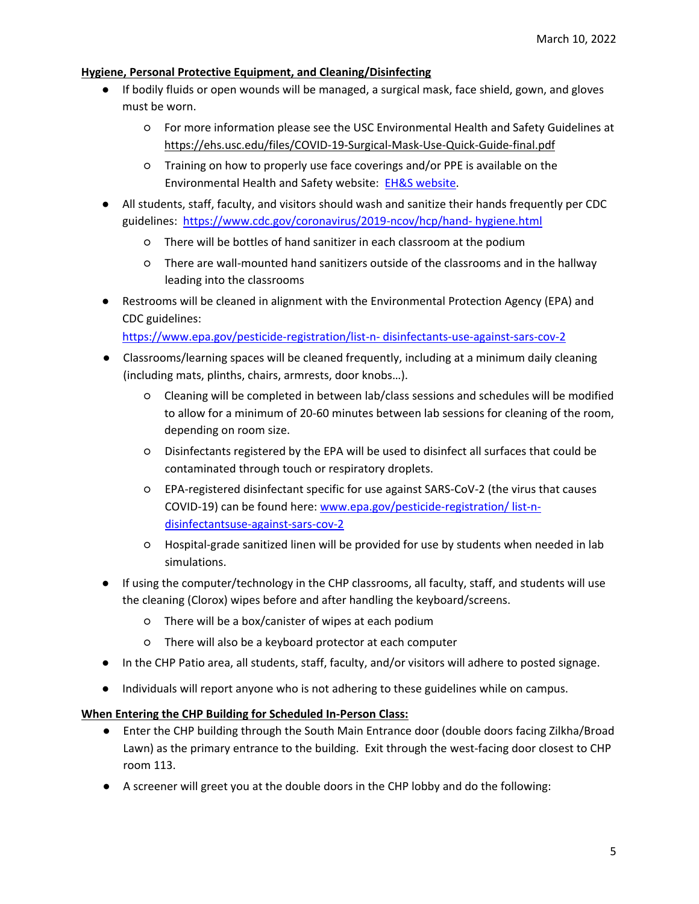#### **Hygiene, Personal Protective Equipment, and Cleaning/Disinfecting**

- If bodily fluids or open wounds will be managed, a surgical mask, face shield, gown, and gloves must be worn.
	- For more information please see the USC Environmental Health and Safety Guidelines at <https://ehs.usc.edu/files/COVID-19-Surgical-Mask-Use-Quick-Guide-final.pdf>
	- Training on how to properly use face coverings and/or PPE is available on the Environmental Health and Safety website: [EH&S website.](https://ehs.usc.edu/welcome/covid-19-resource-center/)
- All students, staff, faculty, and visitors should wash and sanitize their hands frequently per CDC guidelines: [https://www.cdc.gov/coronavirus/2019-ncov/hcp/hand-](https://www.cdc.gov/coronavirus/2019-ncov/hcp/hand-hygiene.html) [hygiene.html](https://www.cdc.gov/coronavirus/2019-ncov/hcp/hand-hygiene.html)
	- There will be bottles of hand sanitizer in each classroom at the podium
	- There are wall-mounted hand sanitizers outside of the classrooms and in the hallway leading into the classrooms
- Restrooms will be cleaned in alignment with the Environmental Protection Agency (EPA) and CDC guidelines:
	- [https://www.epa.gov/pesticide-registration/list-n-](https://www.epa.gov/pesticide-registration/list-n-%20disinfectants-use-against-sars-cov-2) disinfectants-use-against-sars-cov-[2](https://www.epa.gov/pesticide-registration/list-n-%20disinfectants-use-against-sars-cov-2)
- Classrooms/learning spaces will be cleaned frequently, including at a minimum daily cleaning (including mats, plinths, chairs, armrests, door knobs…).
	- Cleaning will be completed in between lab/class sessions and schedules will be modified to allow for a minimum of 20-60 minutes between lab sessions for cleaning of the room, depending on room size.
	- Disinfectants registered by the EPA will be used to disinfect all surfaces that could be contaminated through touch or respiratory droplets.
	- EPA-registered disinfectant specific for use against SARS-CoV-2 (the virus that causes COVID-19) can be found here: www.epa.gov/pesticide-registration/ list-ndisinfectantsuse-against-sars-cov-2
	- Hospital-grade sanitized linen will be provided for use by students when needed in lab simulations.
- If using the computer/technology in the CHP classrooms, all faculty, staff, and students will use the cleaning (Clorox) wipes before and after handling the keyboard/screens.
	- There will be a box/canister of wipes at each podium
	- There will also be a keyboard protector at each computer
- In the CHP Patio area, all students, staff, faculty, and/or visitors will adhere to posted signage.
- Individuals will report anyone who is not adhering to these guidelines while on campus.

## **When Entering the CHP Building for Scheduled In-Person Class:**

- Enter the CHP building through the South Main Entrance door (double doors facing Zilkha/Broad Lawn) as the primary entrance to the building. Exit through the west-facing door closest to CHP room 113.
- A screener will greet you at the double doors in the CHP lobby and do the following: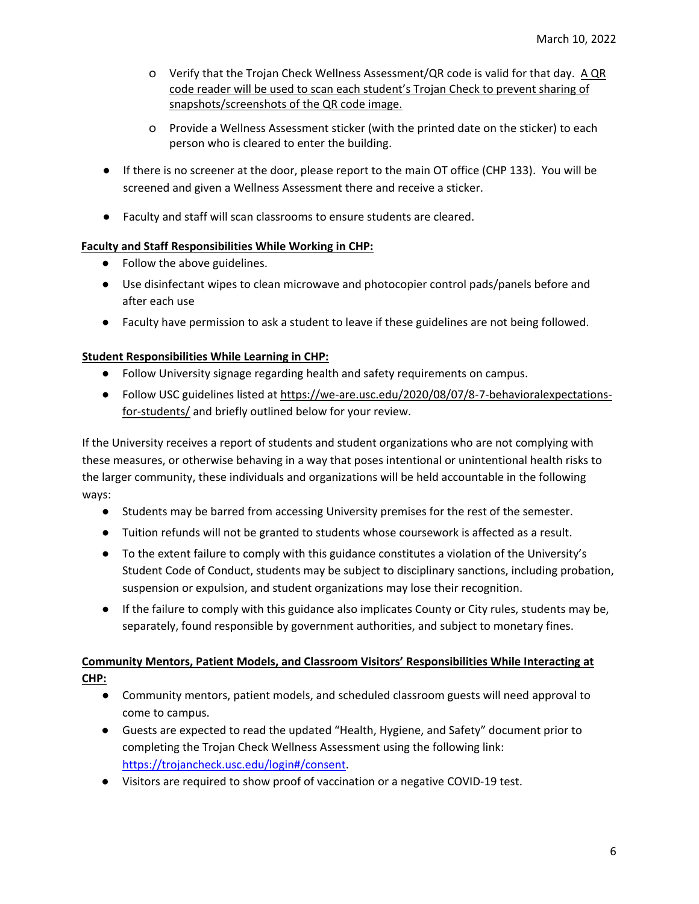- $\circ$  Verify that the Trojan Check Wellness Assessment/QR code is valid for that day. A QR code reader will be used to scan each student's Trojan Check to prevent sharing of snapshots/screenshots of the QR code image.
- o Provide a Wellness Assessment sticker (with the printed date on the sticker) to each person who is cleared to enter the building.
- If there is no screener at the door, please report to the main OT office (CHP 133). You will be screened and given a Wellness Assessment there and receive a sticker.
- Faculty and staff will scan classrooms to ensure students are cleared.

## **Faculty and Staff Responsibilities While Working in CHP:**

- Follow the above guidelines.
- Use disinfectant wipes to clean microwave and photocopier control pads/panels before and after each use
- Faculty have permission to ask a student to leave if these guidelines are not being followed.

#### **Student Responsibilities While Learning in CHP:**

- Follow University signage regarding health and safety requirements on campus.
- Follow USC guidelines listed at [https://we-are.usc.edu/2020/08/07/8-7-behavioralexpectations](https://we-are.usc.edu/2020/08/07/8-7-behavioral-expectations-for-students/)[for-students/](https://we-are.usc.edu/2020/08/07/8-7-behavioral-expectations-for-students/) and briefly outlined below for your review.

If the University receives a report of students and student organizations who are not complying with these measures, or otherwise behaving in a way that poses intentional or unintentional health risks to the larger community, these individuals and organizations will be held accountable in the following ways:

- Students may be barred from accessing University premises for the rest of the semester.
- Tuition refunds will not be granted to students whose coursework is affected as a result.
- To the extent failure to comply with this guidance constitutes a violation of the University's Student Code of Conduct, students may be subject to disciplinary sanctions, including probation, suspension or expulsion, and student organizations may lose their recognition.
- If the failure to comply with this guidance also implicates County or City rules, students may be, separately, found responsible by government authorities, and subject to monetary fines.

# **Community Mentors, Patient Models, and Classroom Visitors' Responsibilities While Interacting at CHP:**

- Community mentors, patient models, and scheduled classroom guests will need approval to come to campus.
- Guests are expected to read the updated "Health, Hygiene, and Safety" document prior to completing the Trojan Check Wellness Assessment using the following link: [https://trojancheck.usc.edu/login#/consent.](https://trojancheck.usc.edu/login#/consent)
- Visitors are required to show proof of vaccination or a negative COVID-19 test.